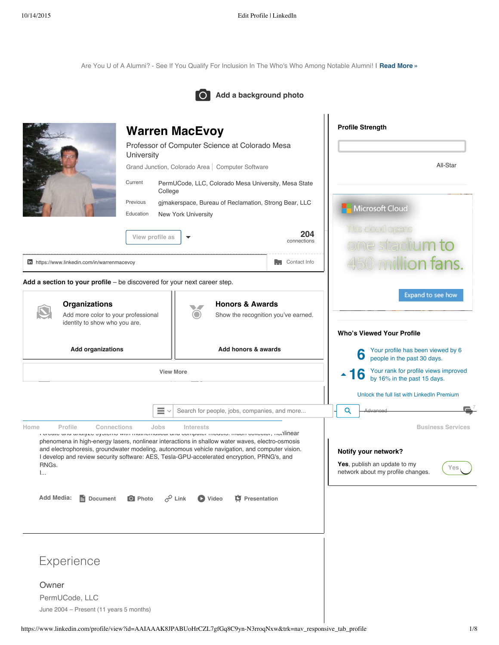Are You U of A Alumni? - See If You Qualify For [Inclusion](https://www.linkedin.com/csp/crd?v=1&cs=0_nvdCgr8tIMYn_gdFysMhTOcV3y1INdm2-dTSyJEXNkOPB0tLc2GFjoeNhsRbgFt55qvZ5SKO1cwEt35m7WCJ1litUUunmJa5fgO4PLCNpxOD43w9jLveV75eRHfejcv1RK5j6FumTAiGkSgroE6RGmoAHLY1H5i7j5M9L35vfAwaGJpuC4z10AJ-hwsNuNu4M2bh-OvlF4Xq4zBE20Z4E1PlUK2Tqkbh7el2aeAnhgGq-CcMeP7nbFWpiLJoEitJ03bErMehfpEbn1Xd0BmTALSpGkPSO5PcIKfmMxaBf0SK0hi0OqMfCXkp5F4BZ1LbO4hPVTjRtmgAyjnFw9veCe8fS9BD13vFqrQX4PmrKUSjpbOow3VsJOrTPqZgorRd17N7nMrsycog6Q6XGxjdKXnrWZkUX-vXcsGQMzqm4gmJGjaJyf7j7zS2yf_9vIvoTh254W-nzZZlgY1QeWtuJ1Nty6dkPr726mGQbrmGXkpZs58F5pJRIue7m3xSreMn2KTuMaBsargLrdBYKnvBMcWoqiJoOJzl8r4okpECKA6c81ufaaQuyFfIvYAdgFiC60tLS6RXNC072nLGTGay4p39v7kohSuvNEhdGkNOYhE4kBBvT9KvPtXOjmFZiSntpurlM-ppAkmhgUefJ5hx5uokvnDGfkvwab_7vSkymoU8pmETZPaBAIeAADblioV0xfVuj4cdQtMObyo7cj96ClaHE5PFEG0C3LvDIX8XLRNdm0HHvYnA66PukzHTFWvH) In The Who's Who Among Notable Alumni! | **[Read](https://www.linkedin.com/csp/crd?v=1&cs=0_nvdCgr8tIMYn_gdFysMhTOcV3y1INdm2-dTSyJEXNkOPB0tLc2GFjoeNhsRbgFt55qvZ5SKO1cwEt35m7WCJ1litUUunmJa5fgO4PLCNpxOD43w9jLveV75eRHfejcv1RK5j6FumTAiGkSgroE6RGmoAHLY1H5i7j5M9L35vfAwaGJpuC4z10AJ-hwsNuNu4M2bh-OvlF4Xq4zBE20Z4E1PlUK2Tqkbh7el2aeAnhgGq-CcMeP7nbFWpiLJoEitJ03bErMehfpEbn1Xd0BmTALSpGkPSO5PcIKfmMxaBf0SK0hi0OqMfCXkp5F4BZ1LbO4hPVTjRtmgAyjnFw9veCe8fS9BD13vFqrQX4PmrKUSjpbOow3VsJOrTPqZgorRd17N7nMrsycog6Q6XGxjdKXnrWZkUX-vXcsGQMzqm4gmJGjaJyf7j7zS2yf_9vIvoTh254W-nzZZlgY1QeWtuJ1Nty6dkPr726mGQbrmGXkpZs58F5pJRIue7m3xSreMn2KTuMaBsargLrdBYKnvBMcWoqiJoOJzl8r4okpECKA6c81ufaaQuyFfIvYAdgFiC60tLS6RXNC072nLGTGay4p39v7kohSuvNEhdGkNOYhE4kBBvT9KvPtXOjmFZiSntpurlM-ppAkmhgUefJ5hx5uokvnDGfkvwab_7vSkymoU8pmETZPaBAIeAADblioV0xfVuj4cdQtMObyo7cj96ClaHE5PFEG0C3LvDIX8XLRNdm0HHvYnA66PukzHTFWvH) More »**



|                                                                    | <b>Warren MacEvoy</b>                                                                                                                                                                                                                                                                                                                                                                                                                  | <b>Profile Strength</b>                                           |                                                                                                                              |  |  |
|--------------------------------------------------------------------|----------------------------------------------------------------------------------------------------------------------------------------------------------------------------------------------------------------------------------------------------------------------------------------------------------------------------------------------------------------------------------------------------------------------------------------|-------------------------------------------------------------------|------------------------------------------------------------------------------------------------------------------------------|--|--|
|                                                                    | Professor of Computer Science at Colorado Mesa<br>University                                                                                                                                                                                                                                                                                                                                                                           |                                                                   |                                                                                                                              |  |  |
|                                                                    | Grand Junction, Colorado Area   Computer Software                                                                                                                                                                                                                                                                                                                                                                                      |                                                                   | All-Star                                                                                                                     |  |  |
|                                                                    | Current<br>PermUCode, LLC, Colorado Mesa University, Mesa State<br>College                                                                                                                                                                                                                                                                                                                                                             |                                                                   |                                                                                                                              |  |  |
|                                                                    | Previous<br>gimakerspace, Bureau of Reclamation, Strong Bear, LLC<br>Education<br><b>New York University</b>                                                                                                                                                                                                                                                                                                                           |                                                                   | Microsoft Cloud                                                                                                              |  |  |
|                                                                    | View profile as                                                                                                                                                                                                                                                                                                                                                                                                                        | 204<br>connections                                                | s doud ocens<br>ne stadium to                                                                                                |  |  |
| in https://www.linkedin.com/in/warrenmacevoy                       |                                                                                                                                                                                                                                                                                                                                                                                                                                        | $\begin{bmatrix} 1 \\ 1 \end{bmatrix}$ Contact Info               | 50 million fans.                                                                                                             |  |  |
|                                                                    | Add a section to your profile – be discovered for your next career step.                                                                                                                                                                                                                                                                                                                                                               |                                                                   |                                                                                                                              |  |  |
| <b>Organizations</b><br>Add more color to your professional        |                                                                                                                                                                                                                                                                                                                                                                                                                                        | <b>Honors &amp; Awards</b><br>Show the recognition you've earned. | Expand to see how                                                                                                            |  |  |
| identity to show who you are.                                      |                                                                                                                                                                                                                                                                                                                                                                                                                                        |                                                                   | <b>Who's Viewed Your Profile</b>                                                                                             |  |  |
| <b>Add organizations</b>                                           |                                                                                                                                                                                                                                                                                                                                                                                                                                        | Add honors & awards                                               | Your profile has been viewed by 6<br>6                                                                                       |  |  |
|                                                                    |                                                                                                                                                                                                                                                                                                                                                                                                                                        |                                                                   | people in the past 30 days.                                                                                                  |  |  |
|                                                                    | <b>View More</b>                                                                                                                                                                                                                                                                                                                                                                                                                       |                                                                   | Your rank for profile views improved<br>16<br>$\blacktriangle$<br>by 16% in the past 15 days.                                |  |  |
|                                                                    |                                                                                                                                                                                                                                                                                                                                                                                                                                        |                                                                   | Unlock the full list with LinkedIn Premium                                                                                   |  |  |
|                                                                    | $\equiv$ $\backsim$                                                                                                                                                                                                                                                                                                                                                                                                                    | Search for people, jobs, companies, and more                      | Q<br>Advanced                                                                                                                |  |  |
| Home<br>Profile<br>Connections<br>RNGs.<br>I                       | Jobs<br>Interests<br>ו טופענס עווע עוועון בס סץסנפוווס אימו ווועמופווועמוסע עווע טטווןטענפו וווטעפוס. ווועטוו טטוופטנטו, ווטו]lfino<br>phenomena in high-energy lasers, nonlinear interactions in shallow water waves, electro-osmosis<br>and electrophoresis, groundwater modeling, autonomous vehicle navigation, and computer vision.<br>I develop and review security software: AES, Tesla-GPU-accelerated encryption, PRNG's, and |                                                                   | <b>Business Services</b><br>Notify your network?<br>Yes, publish an update to my<br>Yes<br>network about my profile changes. |  |  |
| Add Media:<br>Document                                             | $c^{\circ}$ Link<br>O Photo<br>O Video                                                                                                                                                                                                                                                                                                                                                                                                 | <b>C</b> Presentation                                             |                                                                                                                              |  |  |
|                                                                    |                                                                                                                                                                                                                                                                                                                                                                                                                                        |                                                                   |                                                                                                                              |  |  |
| Experience                                                         |                                                                                                                                                                                                                                                                                                                                                                                                                                        |                                                                   |                                                                                                                              |  |  |
| Owner<br>PermUCode, LLC<br>June 2004 - Present (11 years 5 months) |                                                                                                                                                                                                                                                                                                                                                                                                                                        |                                                                   |                                                                                                                              |  |  |
|                                                                    |                                                                                                                                                                                                                                                                                                                                                                                                                                        |                                                                   |                                                                                                                              |  |  |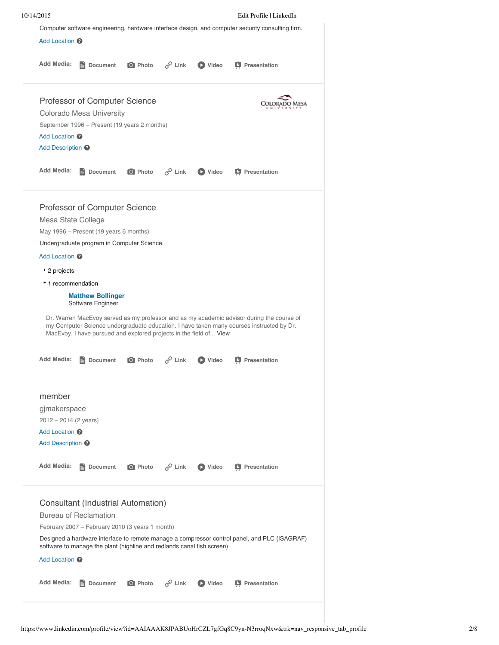|                                                                                                                   | Computer software engineering, hardware interface design, and computer security consulting firm.<br>Add Location <sup>@</sup>                                                                                                                                                                                                |                |                    |                  |                                                                                                                                                                                       |  |  |  |  |  |
|-------------------------------------------------------------------------------------------------------------------|------------------------------------------------------------------------------------------------------------------------------------------------------------------------------------------------------------------------------------------------------------------------------------------------------------------------------|----------------|--------------------|------------------|---------------------------------------------------------------------------------------------------------------------------------------------------------------------------------------|--|--|--|--|--|
| Add Media:                                                                                                        | <b>E</b> Document                                                                                                                                                                                                                                                                                                            | O Photo        | $\mathscr{P}$ Link | $\bullet$ Video  | <b>真</b> Presentation                                                                                                                                                                 |  |  |  |  |  |
|                                                                                                                   | Professor of Computer Science<br>Colorado Mesa University<br>September 1996 - Present (19 years 2 months)<br>Add Location <sup>2</sup><br>Add Description <sup>?</sup>                                                                                                                                                       |                |                    |                  |                                                                                                                                                                                       |  |  |  |  |  |
| <b>Add Media:</b>                                                                                                 | <b>E</b> Document                                                                                                                                                                                                                                                                                                            | O Photo        | $c^{\circ}$ Link   | $\bullet$ Video  | <b>T</b> Presentation                                                                                                                                                                 |  |  |  |  |  |
| Add Location @<br>▶ 2 projects                                                                                    | Professor of Computer Science<br>Mesa State College<br>May 1996 – Present (19 years 6 months)<br>Undergraduate program in Computer Science.<br>▼ 1 recommendation<br><b>Matthew Bollinger</b><br>Software Engineer<br>MacEvoy. I have pursued and explored projects in the field of View                                     |                |                    |                  | Dr. Warren MacEvoy served as my professor and as my academic advisor during the course of<br>my Computer Science undergraduate education. I have taken many courses instructed by Dr. |  |  |  |  |  |
| <b>Add Media:</b>                                                                                                 | Document                                                                                                                                                                                                                                                                                                                     | <b>O</b> Photo | $\mathscr{P}$ Link | $\bigcirc$ Video | <b>C</b> Presentation                                                                                                                                                                 |  |  |  |  |  |
| member<br>gjmakerspace<br>$2012 - 2014$ (2 years)<br>Add Location @<br>Add Description <sup>@</sup><br>Add Media: | Document                                                                                                                                                                                                                                                                                                                     | O Photo        | $\mathscr{P}$ Link | $\bullet$ Video  | <b>T</b> Presentation                                                                                                                                                                 |  |  |  |  |  |
| Add Media:                                                                                                        | Consultant (Industrial Automation)<br><b>Bureau of Reclamation</b><br>February 2007 - February 2010 (3 years 1 month)<br>Designed a hardware interface to remote manage a compressor control panel, and PLC (ISAGRAF)<br>software to manage the plant (highline and redlands canal fish screen)<br>Add Location <sup>2</sup> |                |                    |                  |                                                                                                                                                                                       |  |  |  |  |  |
|                                                                                                                   | Document                                                                                                                                                                                                                                                                                                                     | O Photo        | $\varphi$ Link     | $\bullet$ Video  | <b>C</b> Presentation                                                                                                                                                                 |  |  |  |  |  |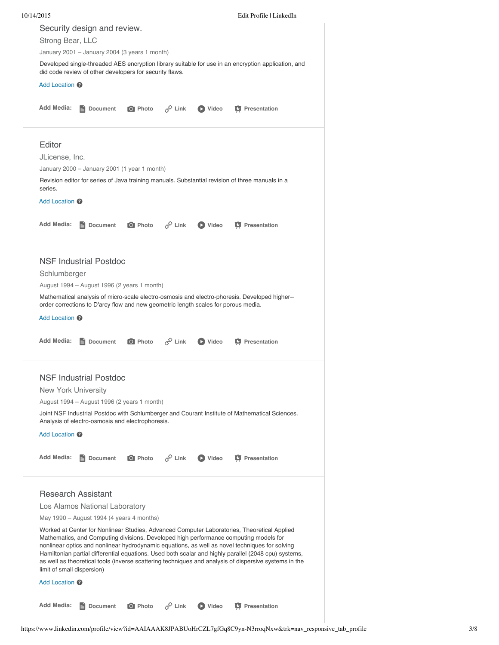| 10/14/2015                 |                                                                                    |                |                    |                | Edit Profile   LinkedIn                                                                                                                                                                                                                                                                                                                                                                                                                                                                                 |  |
|----------------------------|------------------------------------------------------------------------------------|----------------|--------------------|----------------|---------------------------------------------------------------------------------------------------------------------------------------------------------------------------------------------------------------------------------------------------------------------------------------------------------------------------------------------------------------------------------------------------------------------------------------------------------------------------------------------------------|--|
|                            | Security design and review.                                                        |                |                    |                |                                                                                                                                                                                                                                                                                                                                                                                                                                                                                                         |  |
| Strong Bear, LLC           |                                                                                    |                |                    |                |                                                                                                                                                                                                                                                                                                                                                                                                                                                                                                         |  |
|                            | January 2001 - January 2004 (3 years 1 month)                                      |                |                    |                |                                                                                                                                                                                                                                                                                                                                                                                                                                                                                                         |  |
|                            | did code review of other developers for security flaws.                            |                |                    |                | Developed single-threaded AES encryption library suitable for use in an encryption application, and                                                                                                                                                                                                                                                                                                                                                                                                     |  |
| Add Location <sup>@</sup>  |                                                                                    |                |                    |                |                                                                                                                                                                                                                                                                                                                                                                                                                                                                                                         |  |
| <b>Add Media:</b>          | e<br>Document                                                                      | O Photo        | $\mathcal{C}$ Link | <b>D</b> Video | <b>D</b> Presentation                                                                                                                                                                                                                                                                                                                                                                                                                                                                                   |  |
| Editor                     |                                                                                    |                |                    |                |                                                                                                                                                                                                                                                                                                                                                                                                                                                                                                         |  |
| JLicense, Inc.             |                                                                                    |                |                    |                |                                                                                                                                                                                                                                                                                                                                                                                                                                                                                                         |  |
|                            | January 2000 - January 2001 (1 year 1 month)                                       |                |                    |                |                                                                                                                                                                                                                                                                                                                                                                                                                                                                                                         |  |
| series.                    |                                                                                    |                |                    |                | Revision editor for series of Java training manuals. Substantial revision of three manuals in a                                                                                                                                                                                                                                                                                                                                                                                                         |  |
| Add Location <sup>@</sup>  |                                                                                    |                |                    |                |                                                                                                                                                                                                                                                                                                                                                                                                                                                                                                         |  |
| <b>Add Media:</b>          | 目<br>Document                                                                      | O Photo        | $e^{\hat{Q}}$ Link | <b>D</b> Video | <b>D</b> Presentation                                                                                                                                                                                                                                                                                                                                                                                                                                                                                   |  |
|                            | <b>NSF Industrial Postdoc</b>                                                      |                |                    |                |                                                                                                                                                                                                                                                                                                                                                                                                                                                                                                         |  |
| Schlumberger               |                                                                                    |                |                    |                |                                                                                                                                                                                                                                                                                                                                                                                                                                                                                                         |  |
|                            | August 1994 – August 1996 (2 years 1 month)                                        |                |                    |                |                                                                                                                                                                                                                                                                                                                                                                                                                                                                                                         |  |
|                            |                                                                                    |                |                    |                | Mathematical analysis of micro-scale electro-osmosis and electro-phoresis. Developed higher--                                                                                                                                                                                                                                                                                                                                                                                                           |  |
|                            | order corrections to D'arcy flow and new geometric length scales for porous media. |                |                    |                |                                                                                                                                                                                                                                                                                                                                                                                                                                                                                                         |  |
| Add Location <sup>@</sup>  |                                                                                    |                |                    |                |                                                                                                                                                                                                                                                                                                                                                                                                                                                                                                         |  |
| <b>Add Media:</b>          | Document                                                                           | <b>O</b> Photo | $\mathscr{P}$ Link | <b>D</b> Video | <b>C</b> Presentation                                                                                                                                                                                                                                                                                                                                                                                                                                                                                   |  |
|                            | <b>NSF Industrial Postdoc</b>                                                      |                |                    |                |                                                                                                                                                                                                                                                                                                                                                                                                                                                                                                         |  |
| <b>New York University</b> |                                                                                    |                |                    |                |                                                                                                                                                                                                                                                                                                                                                                                                                                                                                                         |  |
|                            | August 1994 - August 1996 (2 years 1 month)                                        |                |                    |                |                                                                                                                                                                                                                                                                                                                                                                                                                                                                                                         |  |
|                            | Analysis of electro-osmosis and electrophoresis.                                   |                |                    |                | Joint NSF Industrial Postdoc with Schlumberger and Courant Institute of Mathematical Sciences.                                                                                                                                                                                                                                                                                                                                                                                                          |  |
| Add Location @             |                                                                                    |                |                    |                |                                                                                                                                                                                                                                                                                                                                                                                                                                                                                                         |  |
| <b>Add Media:</b>          | Document                                                                           | O Photo        | $\mathscr{P}$ Link | <b>D</b> Video | <b>D</b> Presentation                                                                                                                                                                                                                                                                                                                                                                                                                                                                                   |  |
| <b>Research Assistant</b>  |                                                                                    |                |                    |                |                                                                                                                                                                                                                                                                                                                                                                                                                                                                                                         |  |
|                            | Los Alamos National Laboratory                                                     |                |                    |                |                                                                                                                                                                                                                                                                                                                                                                                                                                                                                                         |  |
|                            | May 1990 - August 1994 (4 years 4 months)                                          |                |                    |                |                                                                                                                                                                                                                                                                                                                                                                                                                                                                                                         |  |
| limit of small dispersion) |                                                                                    |                |                    |                | Worked at Center for Nonlinear Studies, Advanced Computer Laboratories, Theoretical Applied<br>Mathematics, and Computing divisions. Developed high performance computing models for<br>nonlinear optics and nonlinear hydrodynamic equations, as well as novel techniques for solving<br>Hamiltonian partial differential equations. Used both scalar and highly parallel (2048 cpu) systems,<br>as well as theoretical tools (inverse scattering techniques and analysis of dispersive systems in the |  |
| Add Location <sup>@</sup>  |                                                                                    |                |                    |                |                                                                                                                                                                                                                                                                                                                                                                                                                                                                                                         |  |
| <b>Add Media:</b>          | Document<br>e.                                                                     | O Photo        | $c^{\circ}$ Link   | <b>D</b> Video | <b>H</b> Presentation                                                                                                                                                                                                                                                                                                                                                                                                                                                                                   |  |
|                            |                                                                                    |                |                    |                |                                                                                                                                                                                                                                                                                                                                                                                                                                                                                                         |  |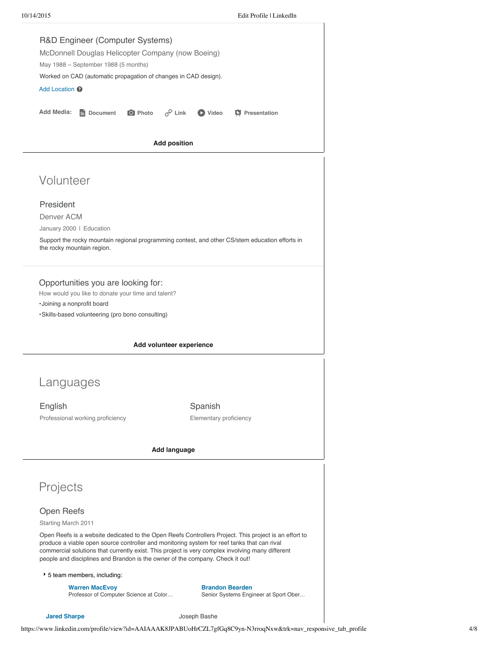

**Jared [Sharpe](https://www.linkedin.com/profile/view?id=AAEAAAwHrfoBgMrmBl7N3-i2M_xYPBmolAWgMvM&authType=name&authToken=eJnW&trk=prof-proj-cc-name) Joseph Bashe** 

https://www.linkedin.com/profile/view?id=AAIAAAK8JPABUoHrCZL7gfGq8C9yn-N3rroqNxw&trk=nav\_responsive\_tab\_profile 4/8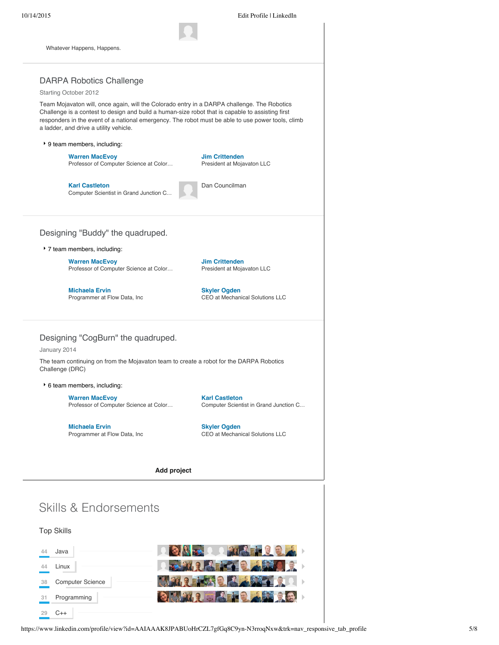**44** Linux

**29** C++

**38** Computer Science

**31** Programming



**对日同人**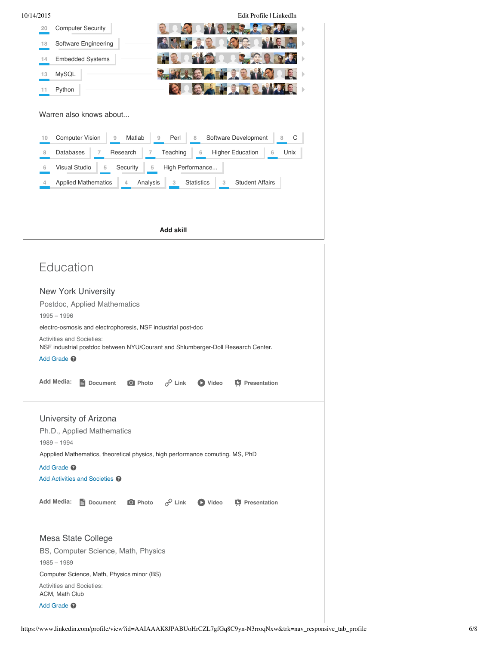| 10/14/2015 |                                                                               |                                                                                                               |                                           |                    |                        | Edit Profile   LinkedIn      |      |  |  |
|------------|-------------------------------------------------------------------------------|---------------------------------------------------------------------------------------------------------------|-------------------------------------------|--------------------|------------------------|------------------------------|------|--|--|
| 20         |                                                                               | <b>Computer Security</b>                                                                                      |                                           |                    |                        |                              |      |  |  |
| 18         |                                                                               | Software Engineering                                                                                          |                                           |                    |                        |                              |      |  |  |
| 14         |                                                                               | <b>Embedded Systems</b>                                                                                       |                                           |                    |                        |                              |      |  |  |
| 13         | MySQL                                                                         |                                                                                                               |                                           |                    |                        |                              |      |  |  |
| 11         | Python                                                                        |                                                                                                               |                                           |                    |                        |                              |      |  |  |
| 10         |                                                                               | Warren also knows about<br><b>Computer Vision</b><br>9                                                        | Matlab<br>9                               | Perl               | 8                      | Software Development<br>8    | С    |  |  |
| 8          | <b>Databases</b>                                                              | 7                                                                                                             | Research<br>7                             | Teaching           | 6                      | <b>Higher Education</b><br>6 | Unix |  |  |
| 6          | <b>Visual Studio</b>                                                          | 5                                                                                                             | Security<br>5                             | High Performance   |                        |                              |      |  |  |
| 4          |                                                                               | <b>Applied Mathematics</b>                                                                                    | Analysis<br>4                             | 3                  | <b>Statistics</b><br>3 | <b>Student Affairs</b>       |      |  |  |
|            |                                                                               |                                                                                                               |                                           |                    |                        |                              |      |  |  |
|            |                                                                               |                                                                                                               |                                           |                    |                        |                              |      |  |  |
|            |                                                                               |                                                                                                               |                                           | <b>Add skill</b>   |                        |                              |      |  |  |
|            |                                                                               |                                                                                                               |                                           |                    |                        |                              |      |  |  |
|            | Education                                                                     |                                                                                                               |                                           |                    |                        |                              |      |  |  |
|            |                                                                               | <b>New York University</b>                                                                                    |                                           |                    |                        |                              |      |  |  |
|            |                                                                               | Postdoc, Applied Mathematics                                                                                  |                                           |                    |                        |                              |      |  |  |
|            | $1995 - 1996$                                                                 |                                                                                                               |                                           |                    |                        |                              |      |  |  |
|            |                                                                               | electro-osmosis and electrophoresis, NSF industrial post-doc                                                  |                                           |                    |                        |                              |      |  |  |
|            |                                                                               | Activities and Societies:<br>NSF industrial postdoc between NYU/Courant and Shlumberger-Doll Research Center. |                                           |                    |                        |                              |      |  |  |
|            | Add Grade <sup>@</sup>                                                        |                                                                                                               |                                           |                    |                        |                              |      |  |  |
|            | Add Media:                                                                    | Document                                                                                                      | O Photo                                   | $\mathscr{P}$ Link | <b>D</b> Video         | <b>T</b> Presentation        |      |  |  |
|            |                                                                               | University of Arizona<br>Ph.D., Applied Mathematics                                                           |                                           |                    |                        |                              |      |  |  |
|            | $1989 - 1994$                                                                 |                                                                                                               |                                           |                    |                        |                              |      |  |  |
|            | Appplied Mathematics, theoretical physics, high performance comuting. MS, PhD |                                                                                                               |                                           |                    |                        |                              |      |  |  |
|            | Add Grade <sup>O</sup><br>Add Activities and Societies <sup>2</sup>           |                                                                                                               |                                           |                    |                        |                              |      |  |  |
|            |                                                                               |                                                                                                               |                                           |                    |                        |                              |      |  |  |
|            | Add Media:                                                                    | Document                                                                                                      | <b>O</b> Photo $\mathcal{C}^{\circ}$ Link |                    | $\bullet$ Video        | <b>T</b> Presentation        |      |  |  |
|            |                                                                               | Mesa State College                                                                                            |                                           |                    |                        |                              |      |  |  |
|            | BS, Computer Science, Math, Physics                                           |                                                                                                               |                                           |                    |                        |                              |      |  |  |
|            | $1985 - 1989$                                                                 | Computer Science, Math, Physics minor (BS)                                                                    |                                           |                    |                        |                              |      |  |  |
|            |                                                                               | <b>Activities and Societies:</b>                                                                              |                                           |                    |                        |                              |      |  |  |
|            | ACM, Math Club                                                                |                                                                                                               |                                           |                    |                        |                              |      |  |  |
|            | Add Grade <sup>O</sup>                                                        |                                                                                                               |                                           |                    |                        |                              |      |  |  |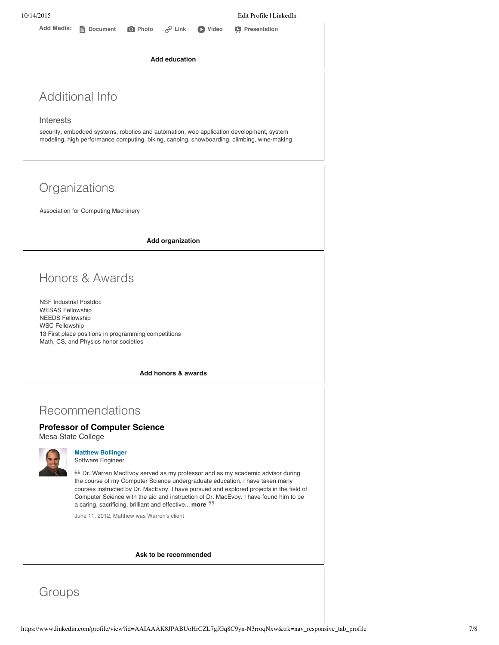**Add education**

## Additional Info

#### Interests

security, embedded systems, robotics and automation, web application development, system modeling, high performance computing, biking, canoing, snowboarding, climbing, wine-making

# **Organizations**

Association for Computing Machinery

**Add organization**

# Honors & Awards

NSF Industrial Postdoc WESAS Fellowship NEEDS Fellowship WSC Fellowship 13 First place positions in programming competitions Math, CS, and Physics honor societies

**Add honors & awards**

### Recommendations

#### **Professor of Computer Science**

Mesa State College



#### **Matthew [Bollinger](https://www.linkedin.com/profile/view?id=AAEAAAs7U8EB55X7_VZ3zQP8dV05RZ8fWpefvQg&authType=name&authToken=4U_5)** Software Engineer

Dr. Warren MacEvoy served as my professor and as my academic advisor during the course of my Computer Science undergraduate education. I have taken many courses instructed by Dr. MacEvoy. I have pursued and explored projects in the field of Computer Science with the aid and instruction of Dr. MacEvoy. I have found him to be a caring, sacrificing, brilliant and effective... **more**

June 11, 2012, Matthew was Warren's client

#### **Ask to be [recommended](https://www.linkedin.com/recs/ask?trk=prof-edit-ask-for-recommendations)**

# **Groups**